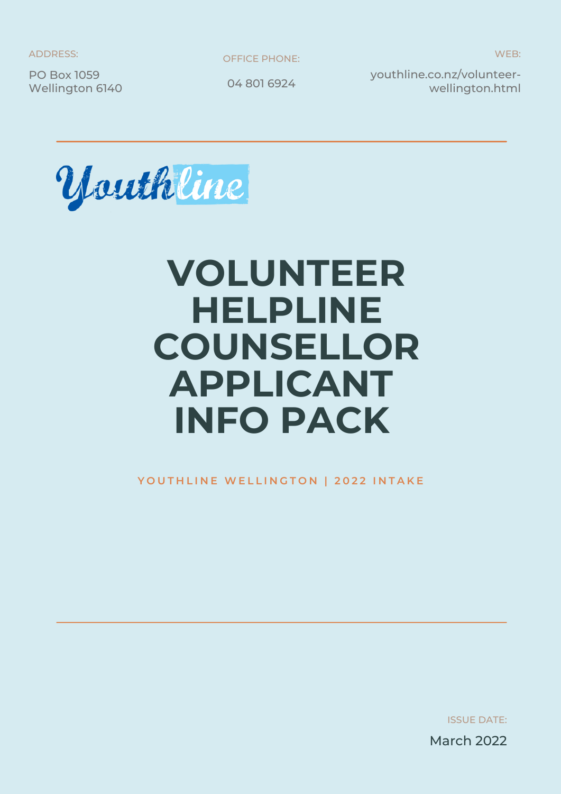PO Box 1059 Wellington 6140

ADDRESS: WEB: OFFICE PHONE:

04 801 6924

youthline.co.nz/volunteerwellington.html

<u> Uouthline</u>

# **VOLUNTEER HELPLINE COUNSELLOR APPLICANT INFO PACK**

YOUTHLINE WELLINGTON | 2022 INTAKE

ISSUE DATE: March 2022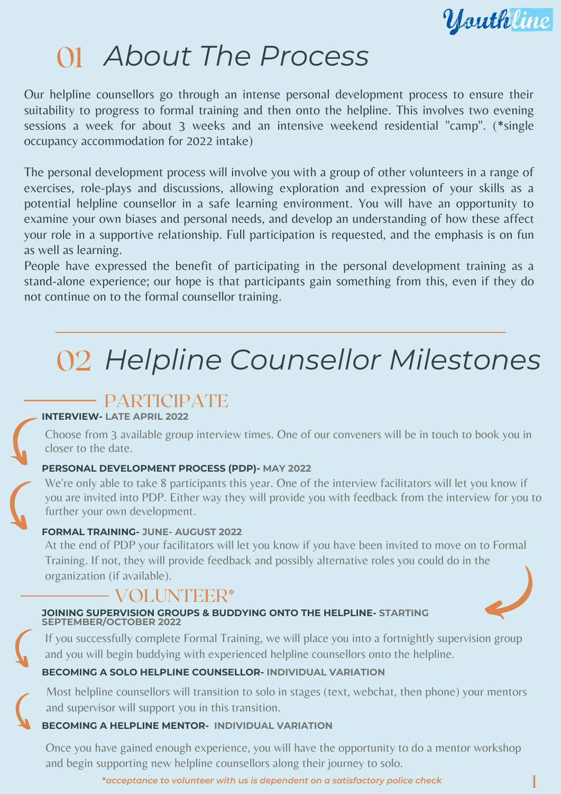

# 01 *About The Process*

Our helpline counsellors go through an intense personal development process to ensure their suitability to progress to formal training and then onto the helpline. This involves two evening sessions a week for about 3 weeks and an intensive weekend residential "camp". (\*single occupancy accommodation for 2022 intake)

The personal development process will involve you with a group of other volunteers in a range of exercises, role-plays and discussions, allowing exploration and expression of your skills as a potential helpline counsellor in a safe learning environment. You will have an opportunity to examine your own biases and personal needs, and develop an understanding of how these affect your role in a supportive relationship. Full participation is requested, and the emphasis is on fun as well as learning.

People have expressed the benefit of participating in the personal development training as a stand-alone experience; our hope is that participants gain something from this, even if they do not continue on to the formal counsellor training.

# 02 *Helpline Counsellor Milestones*

## PARTICIPATE

### **INTERVIEW- LATE APRIL 2022**

Choose from 3 available group interview times. One of our conveners will be in touch to book you in closer to the date.

### **PERSONAL DEVELOPMENT PROCESS (PDP)- MAY 2022**

We're only able to take 8 participants this year. One of the interview facilitators will let you know if you are invited into PDP. Either way they will provide you with feedback from the interview for you to further your own development.

## **FORMAL TRAINING- JUNE- AUGUST 2022**

At the end of PDP your facilitators will let you know if you have been invited to move on to Formal Training. If not, they will provide feedback and possibly alternative roles you could do in the organization (if available).

## VOLUNTEER\*

#### **JOINING SUPERVISION GROUPS & BUDDYING ONTO THE HELPLINE- STARTING SEPTEMBER/OCTOBER 2022**



1

If you successfully complete Formal Training, we will place you into a fortnightly supervision group and you will begin buddying with experienced helpline counsellors onto the helpline.

### **BECOMING A SOLO HELPLINE COUNSELLOR- INDIVIDUAL VARIATION**

Most helpline counsellors will transition to solo in stages (text, webchat, then phone) your mentors and supervisor will support you in this transition.

## **BECOMING A HELPLINE MENTOR- INDIVIDUAL VARIATION**

Once you have gained enough experience, you will have the opportunity to do a mentor workshop and begin supporting new helpline counsellors along their journey to solo.

**\****acceptance to volunteer with us is dependent on a satisfactory police check*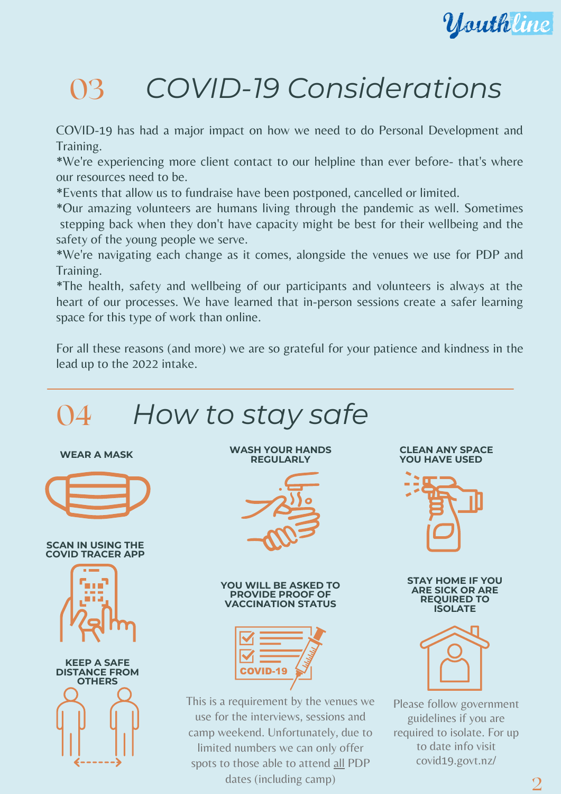

# 03 *COVID-19 Considerations*

COVID-19 has had a major impact on how we need to do Personal Development and Training.

\*We're experiencing more client contact to our helpline than ever before- that's where our resources need to be.

\*Events that allow us to fundraise have been postponed, cancelled or limited.

\*Our amazing volunteers are humans living through the pandemic as well. Sometimes stepping back when they don't have capacity might be best for their wellbeing and the safety of the young people we serve.

\*We're navigating each change as it comes, alongside the venues we use for PDP and Training.

\*The health, safety and wellbeing of our participants and volunteers is always at the heart of our processes. We have learned that in-person sessions create a safer learning space for this type of work than online.

For all these reasons (and more) we are so grateful for your patience and kindness in the lead up to the 2022 intake.



dates (including camp)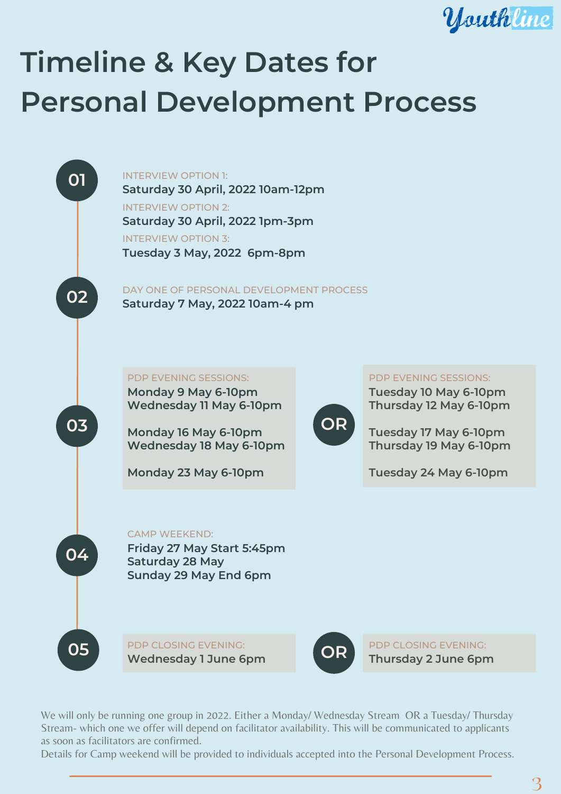## <u> Uauthline</u>

# **Timeline & Key Dates for Personal Development Process**



We will only be running one group in 2022. Either a Monday/ Wednesday Stream OR a Tuesday/ Thursday Stream- which one we offer will depend on facilitator availability. This will be communicated to applicants as soon as facilitators are confirmed.

Details for Camp weekend will be provided to individuals accepted into the Personal Development Process.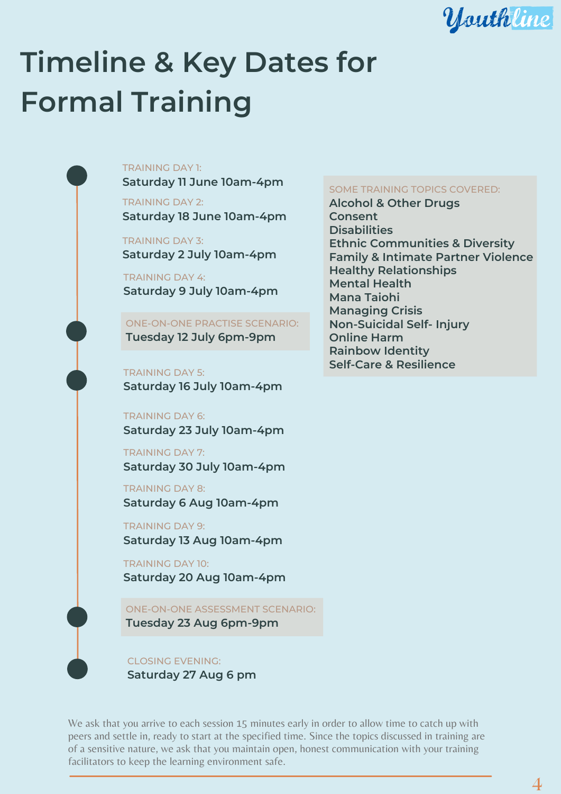

# **Timeline & Key Dates for Formal Training**

#### TRAINING DAY 1:

**Saturday 11 June 10am-4pm**

TRAINING DAY 2: **Saturday 18 June 10am-4pm**

#### TRAINING DAY 3:

**Saturday 2 July 10am-4pm**

TRAINING DAY 4: **Saturday 9 July 10am-4pm**

ONE-ON-ONE PRACTISE SCENARIO: **Tuesday 12 July 6pm-9pm**

TRAINING DAY 5: **Saturday 16 July 10am-4pm**

TRAINING DAY 6: **Saturday 23 July 10am-4pm**

TRAINING DAY 7: **Saturday 30 July 10am-4pm**

TRAINING DAY 8: **Saturday 6 Aug 10am-4pm**

TRAINING DAY 9: **Saturday 13 Aug 10am-4pm**

TRAINING DAY 10: **Saturday 20 Aug 10am-4pm**

ONE-ON-ONE ASSESSMENT SCENARIO: **Tuesday 23 Aug 6pm-9pm**

CLOSING EVENING: **Saturday 27 Aug 6 pm**

#### SOME TRAINING TOPICS COVERED:

**Alcohol & Other Drugs Consent Disabilities Ethnic Communities & Diversity Family & Intimate Partner Violence Healthy Relationships Mental Health Mana Taiohi Managing Crisis Non-Suicidal Self- Injury Online Harm Rainbow Identity Self-Care & Resilience**

We ask that you arrive to each session 15 minutes early in order to allow time to catch up with peers and settle in, ready to start at the specified time. Since the topics discussed in training are of a sensitive nature, we ask that you maintain open, honest communication with your training facilitators to keep the learning environment safe.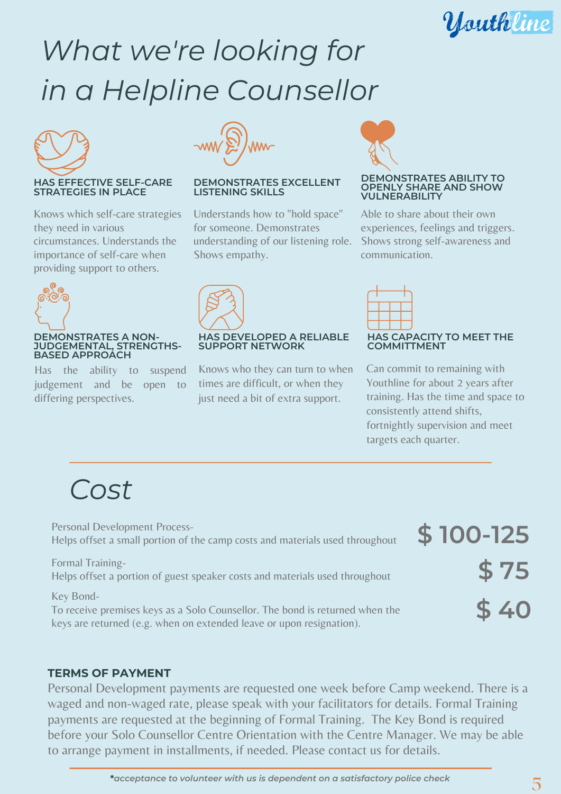## **Youthline**

# *What we're looking for in a Helpline Counsellor*



Knows which self-care strategies they need in various circumstances. Understands the importance of self-care when providing support to others.



#### **DEMONSTRATES A NON-JUDGEMENTAL, STRENGTHS-BASED APPROACH**

Has the ability to suspend judgement and be open to differing perspectives.



#### **DEMONSTRATES EXCELLENT LISTENING SKILLS**

Understands how to "hold space" for someone. Demonstrates understanding of our listening role. Shows empathy.



#### **HAS DEVELOPED A RELIABLE SUPPORT NETWORK**

Knows who they can turn to when times are difficult, or when they just need a bit of extra support.



#### **DEMONSTRATES ABILITY TO OPENLY SHARE AND SHOW VULNERABILITY**

Able to share about their own experiences, feelings and triggers. Shows strong self-awareness and communication.



#### **HAS CAPACITY TO MEET THE COMMITTMENT**

Can commit to remaining with Youthline for about 2 years after training. Has the time and space to consistently attend shifts, fortnightly supervision and meet targets each quarter.

*Cost*

Personal Development Process-Helps offset a small portion of the camp costs and materials used throughout

Formal Training-Helps offset a portion of guest speaker costs and materials used throughout

Key Bond-

To receive premises keys as a Solo Counsellor. The bond is returned when the keys are returned (e.g. when on extended leave or upon resignation).

**\$ 100-125 \$ 75 \$ 40**

## **TERMS OF PAYMENT**

Personal Development payments are requested one week before Camp weekend. There is a waged and non-waged rate, please speak with your facilitators for details. Formal Training payments are requested at the beginning of Formal Training. The Key Bond is required before your Solo Counsellor Centre Orientation with the Centre Manager. We may be able to arrange payment in installments, if needed. Please contact us for details.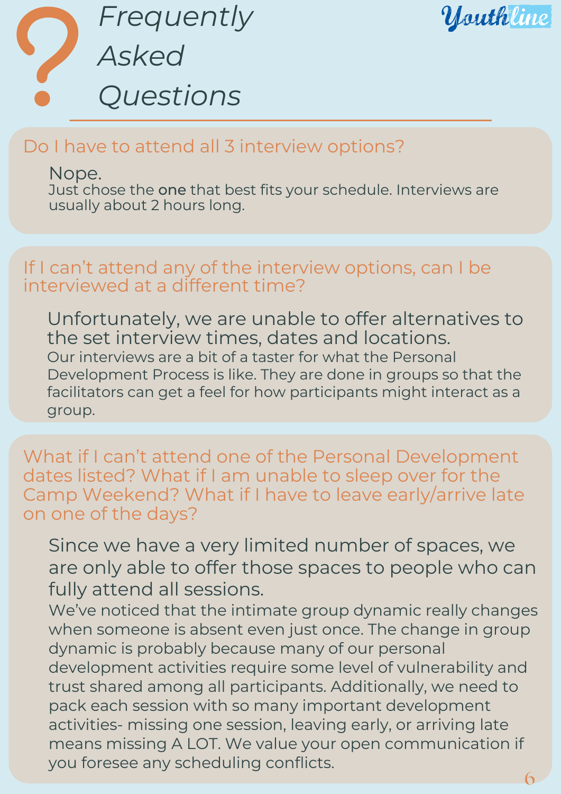

## **Youthline**

## Do I have to attend all 3 interview options?

## Nope.

Just chose the one that best fits your schedule. Interviews are usually about 2 hours long.

## If I can't attend any of the interview options, can I be interviewed at a different time?

Unfortunately, we are unable to offer alternatives to the set interview times, dates and locations. Our interviews are a bit of a taster for what the Personal Development Process is like. They are done in groups so that the facilitators can get a feel for how participants might interact as a group.

What if I can't attend one of the Personal Development dates listed? What if I am unable to sleep over for the Camp Weekend? What if I have to leave early/arrive late on one of the days?

Since we have a very limited number of spaces, we are only able to offer those spaces to people who can fully attend all sessions.

We've noticed that the intimate group dynamic really changes when someone is absent even just once. The change in group dynamic is probably because many of our personal development activities require some level of vulnerability and trust shared among all participants. Additionally, we need to pack each session with so many important development activities- missing one session, leaving early, or arriving late means missing A LOT. We value your open communication if you foresee any scheduling conflicts. 6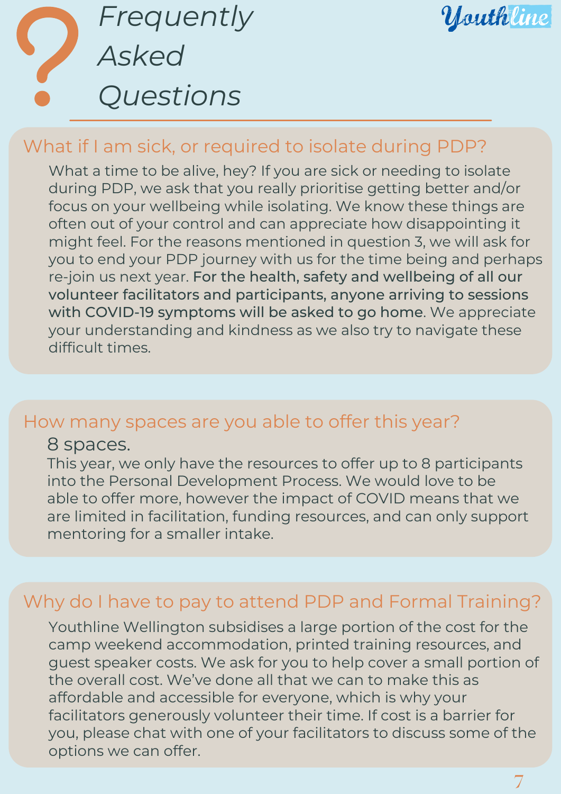



## What if I am sick, or required to isolate during PDP?

What a time to be alive, hey? If you are sick or needing to isolate during PDP, we ask that you really prioritise getting better and/or focus on your wellbeing while isolating. We know these things are often out of your control and can appreciate how disappointing it might feel. For the reasons mentioned in question 3, we will ask for you to end your PDP journey with us for the time being and perhaps re-join us next year. For the health, safety and wellbeing of all our volunteer facilitators and participants, anyone arriving to sessions with COVID-19 symptoms will be asked to go home. We appreciate your understanding and kindness as we also try to navigate these difficult times.

## How many spaces are you able to offer this year?

## 8 spaces.

This year, we only have the resources to offer up to 8 participants into the Personal Development Process. We would love to be able to offer more, however the impact of COVID means that we are limited in facilitation, funding resources, and can only support mentoring for a smaller intake.

## Why do I have to pay to attend PDP and Formal Training?

Youthline Wellington subsidises a large portion of the cost for the camp weekend accommodation, printed training resources, and guest speaker costs. We ask for you to help cover a small portion of the overall cost. We've done all that we can to make this as affordable and accessible for everyone, which is why your facilitators generously volunteer their time. If cost is a barrier for you, please chat with one of your facilitators to discuss some of the options we can offer.